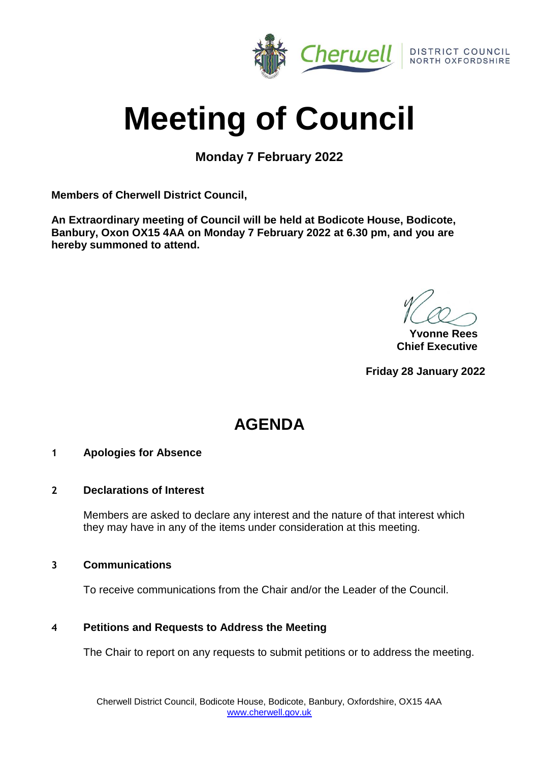

# **Meeting of Council**

**Monday 7 February 2022**

**Members of Cherwell District Council,**

**An Extraordinary meeting of Council will be held at Bodicote House, Bodicote, Banbury, Oxon OX15 4AA on Monday 7 February 2022 at 6.30 pm, and you are hereby summoned to attend.**

**Yvonne Rees Chief Executive**

**Friday 28 January 2022**

## **AGENDA**

## **1 Apologies for Absence**

## **2 Declarations of Interest**

Members are asked to declare any interest and the nature of that interest which they may have in any of the items under consideration at this meeting.

## **3 Communications**

To receive communications from the Chair and/or the Leader of the Council.

## **4 Petitions and Requests to Address the Meeting**

The Chair to report on any requests to submit petitions or to address the meeting.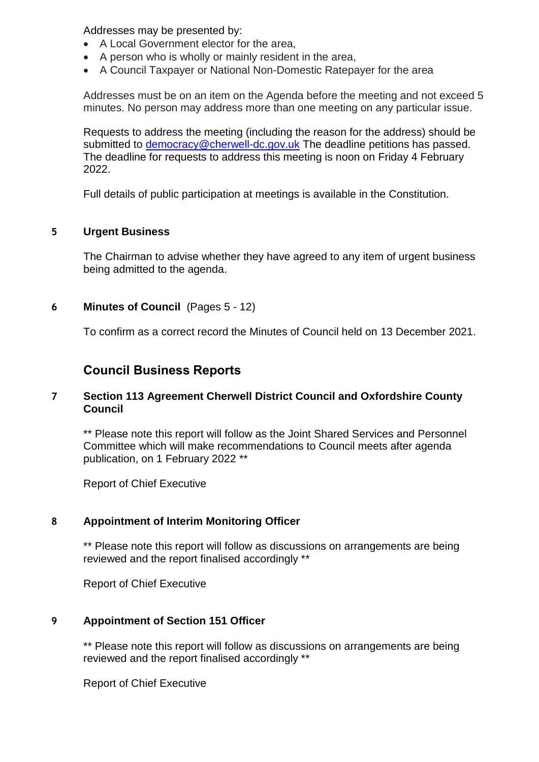Addresses may be presented by:

- A Local Government elector for the area,
- A person who is wholly or mainly resident in the area,
- A Council Taxpayer or National Non-Domestic Ratepayer for the area

Addresses must be on an item on the Agenda before the meeting and not exceed 5 minutes. No person may address more than one meeting on any particular issue.

Requests to address the meeting (including the reason for the address) should be submitted to [democracy@cherwell-dc.gov.uk](mailto:democracy@cherwellandsouthnorthants.gov.uk) The deadline petitions has passed. The deadline for requests to address this meeting is noon on Friday 4 February 2022.

Full details of public participation at meetings is available in the Constitution.

## **5 Urgent Business**

The Chairman to advise whether they have agreed to any item of urgent business being admitted to the agenda.

## **6 Minutes of Council** (Pages 5 - 12)

To confirm as a correct record the Minutes of Council held on 13 December 2021.

## **Council Business Reports**

## **7 Section 113 Agreement Cherwell District Council and Oxfordshire County Council**

\*\* Please note this report will follow as the Joint Shared Services and Personnel Committee which will make recommendations to Council meets after agenda publication, on 1 February 2022 \*\*

Report of Chief Executive

## **8 Appointment of Interim Monitoring Officer**

\*\* Please note this report will follow as discussions on arrangements are being reviewed and the report finalised accordingly \*\*

Report of Chief Executive

## **9 Appointment of Section 151 Officer**

\*\* Please note this report will follow as discussions on arrangements are being reviewed and the report finalised accordingly \*\*

Report of Chief Executive